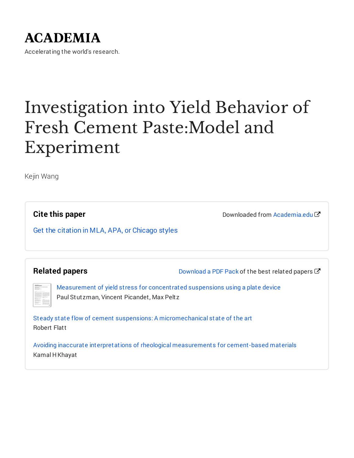## **ACADEMIA**

Accelerating the world's research.

# Investigation into Yield Behavior of Fresh Cement Paste:Model and Experiment

Kejin Wang

**Cite this paper**

Downloaded from [Academia.edu](https://www.academia.edu/19546117/Investigation_into_Yield_Behavior_of_Fresh_Cement_Paste_Model_and_Experiment?from=cover_page)

Get the citation in MLA, APA, or [Chicago](https://www.academia.edu/19546117/Investigation_into_Yield_Behavior_of_Fresh_Cement_Paste_Model_and_Experiment?auto=citations&from=cover_page) styles

**Related papers**

[Download](https://www.academia.edu/19546117/Investigation_into_Yield_Behavior_of_Fresh_Cement_Paste_Model_and_Experiment?bulkDownload=thisPaper-topRelated-sameAuthor-citingThis-citedByThis-secondOrderCitations&from=cover_page) a PDF Pack of the best related papers  $\mathbb{Z}$ 

[Measurement](https://www.academia.edu/15758975/Measurement_of_yield_stress_for_concentrated_suspensions_using_a_plate_device?from=cover_page) of yield stress for concentrated suspensions using a plate device Paul Stutzman, Vincent Picandet, Max Peltz

Steady state flow of cement suspensions: A [micromechanical](https://www.academia.edu/20063695/Steady_state_flow_of_cement_suspensions_A_micromechanical_state_of_the_art?from=cover_page) state of the art Robert Flatt

Avoiding inaccurate interpretations of rheological [measurements](https://www.academia.edu/19812032/Avoiding_inaccurate_interpretations_of_rheological_measurements_for_cement_based_materials?from=cover_page) for cement-based materials Kamal H Khayat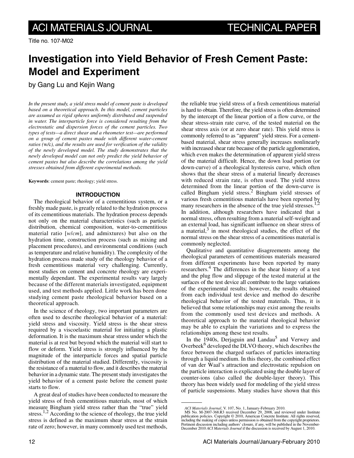Title no. 107-M02

### **Investigation into Yield Behavior of Fresh Cement Paste: Model and Experiment**

by Gang Lu and Kejin Wang

*In the present study, a yield stress model of cement paste is developed based on a theoretical approach. In this model, cement particles are assumed as rigid spheres uniformly distributed and suspended in water. The interparticle force is considered resulting from the electrostatic and dispersion forces of the cement particles. Two types of tests—a direct shear and a rheometer test—are performed on a group of cement pastes made with different water-cement ratios (*w*/*c*), and the results are used for verification of the validity of the newly developed model. The study demonstrates that the newly developed model can not only predict the yield behavior of cement pastes but also describe the correlations among the yield stresses obtained from different experimental methods.*

**Keywords**: cement paste; rheology; yield stress.

#### **INTRODUCTION**

The rheological behavior of a cementitious system, or a freshly made paste, is greatly related to the hydration process of its cementitious materials. The hydration process depends not only on the material characteristics (such as particle distribution, chemical composition, water-to-cementitious material ratio [*w*/*cm*], and admixtures) but also on the hydration time, construction process (such as mixing and placement procedures), and environmental conditions (such as temperature and relative humidity). The complexity of the hydration process made study of the rheology behavior of a fresh cementitious material very challenging. Currently, most studies on cement and concrete rheology are experimentally dependant. The experimental results vary largely because of the different materials investigated, equipment used, and test methods applied. Little work has been done studying cement paste rheological behavior based on a theoretical approach.

In the science of rheology, two important parameters are often used to describe rheological behavior of a material: yield stress and viscosity. Yield stress is the shear stress required by a viscoelastic material for initiating a plastic deformation. It is the maximum shear stress under which the material is at rest but beyond which the material will start to flow or deform. Yield stress is strongly influenced by the magnitude of the interparticle forces and spatial particle distribution of the material studied. Differently, viscosity is the resistance of a material to flow, and it describes the material behavior in a dynamic state. The present study investigates the yield behavior of a cement paste before the cement paste starts to flow.

A great deal of studies have been conducted to measure the yield stress of fresh cementitious materials, most of which measure Bingham yield stress rather than the "true" yield stress.<sup>1,2</sup> According to the science of rheology, the true yield stress is defined as the maximum shear stress at the strain rate of zero; however, in many commonly used test methods,

the reliable true yield stress of a fresh cementitious material is hard to obtain. Therefore, the yield stress is often determined by the intercept of the linear portion of a flow curve, or the shear stress-strain rate curve, of the tested material on the shear stress axis (or at zero shear rate). This yield stress is commonly referred to as "apparent" yield stress. For a cementbased material, shear stress generally increases nonlinearly with increased shear rate because of the particle agglomeration, which even makes the determination of apparent yield stress of the material difficult. Hence, the down load portion (or down-curve) of a rheological hysteresis curve, which often shows that the shear stress of a material linearly decreases with reduced strain rate, is often used. The yield stress determined from the linear portion of the down-curve is called Bingham yield stress.<sup>2</sup> Bingham yield stresses of various fresh cementitious materials have been reported by many researchers in the absence of the true yield stresses.<sup>1,2</sup> In addition, although researchers have indicated that a normal stress, often resulting from a material self-weight and an external load, has significant influence on shear stress of a material, $3$  in most rheological studies, the effect of the normal stress on the shear stress of a cementitious material is commonly neglected.

Qualitative and quantitative disagreements among the rheological parameters of cementitious materials measured from different experiments have been reported by many researchers.<sup>4</sup> The differences in the shear history of a test and the plug flow and slippage of the tested material at the surfaces of the test device all contribute to the large variations of the experimental results; however, the results obtained from each individual test device and method do describe rheological behavior of the tested materials. Thus, it is believed that some relationships may exist among the results from the commonly used test devices and methods. A theoretical approach to the material rheological behavior may be able to explain the variations and to express the relationships among these test results.

In the 1940s, Derjaguin and Landau<sup>5</sup> and Verwey and Overbeek<sup>6</sup> developed the DLVO theory, which describes the force between the charged surfaces of particles interacting through a liquid medium. In this theory, the combined effect of van der Waal's attraction and electrostatic repulsion on the particle interaction is explicated using the double layer of counter-ions (also called the double-layer theory). This theory has been widely used for modeling of the yield stress of particle suspensions. Many studies have shown that this

*ACI Materials Journal*, V. 107, No. 1, January-February 2010. MS No. M-2007-368.R3 received December 29, 2008, and reviewed under Institute publication policies. Copyright © 2010, American Concrete Institute. All rights reserved,<br>including the making of copies unless permission is obtained from the copyright proprietors.<br>Pertinent discussion including authors' December 2010 *ACI Materials Journal* if the discussion is received by August 1, 2010.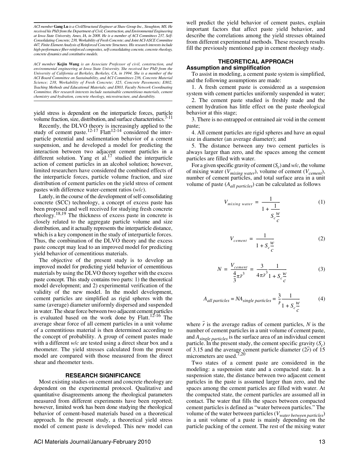*ACI member* **Gang Lu** *is a Civil/Structural Engineer at Shaw Group Inc., Stoughton, MS. He received his PhD from the Department of Civil, Construction, and Environmental Engineering at Iowa State University, Ames, IA, in 2008. He is a member of ACI Committees 237, Self-Consolidating Concrete; 238, Workability of Fresh Concrete; and Joint ACI-ASCE Committee 447, Finite Element Analysis of Reinforced Concrete Structures. His research interests include high-performance fiber-reinforced composites, self-consolidating concrete, concrete rheology, concrete dynamics and constitutive models.*

*ACI member* **Kejin Wang** *is an Associate Professor of civil, construction, and environmental engineering at Iowa State University. She received her PhD from the University of California at Berkeley, Berkeley, CA, in 1994. She is a member of the ACI Board Committee on Sustainability, and ACI Committees 236, Concrete Material Science; 238, Workability of Fresh Concrete; 325, Concrete Pavements; E802, Teaching Methods and Educational Materials; and E803, Faculty Network Coordinating Committee. Her research interests include sustainable cementitious materials, cement chemistry and hydration, concrete rheology, microstructure, and durability.*

yield stress is dependent on the interparticle forces, particle volume fraction, size, distribution, and surface characteristics.<sup>7-11</sup>

Recently, the DLVO theory is increasingly applied to the study of cement paste.<sup>12-17</sup> Flatt<sup>12-14</sup> considered the interparticle potential and sedimentation behavior of a cement suspension, and he developed a model for predicting the interaction between two adjacent cement particles in a different solution. Yang et al. $17$  studied the interparticle action of cement particles in an alcohol solution; however, limited researchers have considered the combined effects of the interparticle forces, particle volume fraction, and size distribution of cement particles on the yield stress of cement pastes with difference water-cement ratios (*w*/*c*).

Lately, in the course of the development of self-consolidating concrete (SCC) technology, a concept of excess paste has been proposed and well received for studying fresh concrete rheology.18,19 The thickness of excess paste in concrete is closely related to the aggregate particle volume and size distribution, and it actually represents the interparticle distance, which is a key component in the study of interparticle forces. Thus, the combination of the DLVO theory and the excess paste concept may lead to an improved model for predicting yield behavior of cementitious materials.

The objective of the present study is to develop an improved model for predicting yield behavior of cementitious materials by using the DLVO theory together with the excess paste concept. This study contains two parts: 1) the theoretical model development; and 2) experimental verification of the validity of the new model. In the model development, cement particles are simplified as rigid spheres with the same (average) diameter uniformly dispersed and suspended in water. The shear force between two adjacent cement particles is evaluated based on the work done by Flatt.<sup>12-16</sup> The average shear force of all cement particles in a unit volume of a cementitious material is then determined according to the concept of probability. A group of cement pastes made with a different *w*/*c* are tested using a direct shear box and a rheometer. The yield stresses calculated from the present model are compared with those measured from the direct shear and rheometer tests.

#### **RESEARCH SIGNIFICANCE**

Most existing studies on cement and concrete rheology are dependent on the experimental protocol. Qualitative and quantitative disagreements among the rheological parameters measured from different experiments have been reported; however, limited work has been done studying the rheological behavior of cement-based materials based on a theoretical approach. In the present study, a theoretical yield stress model of cement paste is developed. This new model can well predict the yield behavior of cement pastes, explain important factors that affect paste yield behavior, and describe the correlations among the yield stresses obtained from different experimental methods. These research results fill the previously mentioned gap in cement rheology study.

#### **THEORETICAL APPROACH Assumption and simplification**

To assist in modeling, a cement paste system is simplified, and the following assumptions are made:

1. A fresh cement paste is considered as a suspension system with cement particles uniformly suspended in water;

2. The cement paste studied is freshly made and the cement hydration has little effect on the paste rheological behavior at this stage;

3. There is no entrapped or entrained air void in the cement paste;

4. All cement particles are rigid spheres and have an equal size in diameter (an average diameter); and

5. The distance between any two cement particles is always larger than zero, and the spaces among the cement particles are filled with water.

For a given specific gravity of cement (*S<sup>c</sup>* ) and *w*/*c*, the volume of mixing water (*Vmixing water*), volume of cement (*Vcement*), number of cement particles, and total surface area in a unit volume of paste (*Aall particles*) can be calculated as follows

$$
V_{mixing\ water} = \frac{1}{1 + \frac{1}{S_c \frac{W}{c}}}
$$
 (1)

$$
V_{cement} = \frac{1}{1 + S_c \frac{w}{c}}
$$
 (2)

$$
N = \frac{V_{cement}}{\frac{4}{3}\pi \bar{r}^3} = \frac{3}{4\pi \bar{r}^3} \frac{1}{1 + S_c \frac{w}{c}}
$$
(3)

$$
A_{all\ particles} = NA_{single\ particles} = \frac{3}{\bar{r}} \frac{1}{1 + S_c \frac{w}{c}}
$$
(4)

where  $\overline{r}$  is the average radius of cement particles,  $N$  is the number of cement particles in a unit volume of cement paste, and *Asingle particles* is the surface area of an individual cement particle. In the present study, the cement specific gravity  $(S_c)$ of 3.15 and the average cement particle diameter  $(2r)$  of 15 micrometers are used.<sup>7,20</sup>

Two states of a cement paste are considered in the modeling: a suspension state and a compacted state. In a suspension state, the distance between two adjacent cement particles in the paste is assumed larger than zero, and the spaces among the cement particles are filled with water. At the compacted state, the cement particles are assumed all in contact. The water that fills the spaces between compacted cement particles is defined as "water between particles." The volume of the water between particles (*Vwater between particles*) in a unit volume of a paste is mainly depending on the particle packing of the cement. The rest of the mixing water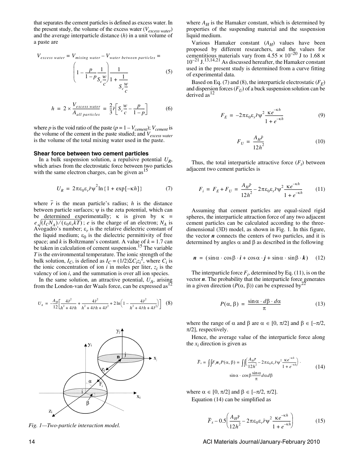that separates the cement particles is defined as excess water. In the present study, the volume of the excess water (*Vexcess water*) and the average interparticle distance (*h*) in a unit volume of a paste are

$$
V_{excess\ water} = V_{mixing\ water} - V_{water\ between\ particles} = \left(1 - \frac{p}{1 - p} \frac{1}{S_c \frac{w}{c}}\right) \frac{1}{1 + \frac{1}{S_c \frac{w}{c}}}
$$
(5)

$$
h = 2 \times \frac{V_{excess\ water}}{A_{all\ particles}} = \frac{2}{3} \bar{r} \bigg[ S_c \frac{w}{c} - \frac{p}{1-p} \bigg] \tag{6}
$$

where *p* is the void ratio of the paste ( $p = 1 - V_{\text{cement}}$ );  $V_{\text{cement}}$  is the volume of the cement in the paste studied; and *Vexcess water* is the volume of the total mixing water used in the paste.

#### **Shear force between two cement particles**

In a bulk suspension solution, a repulsive potential *U<sup>R</sup>* , which arises from the electrostatic force between two particles with the same electron charges, can be given  $as<sup>15</sup>$ 

$$
U_R = 2\pi\varepsilon_0\varepsilon_r \bar{r}\psi^2 \ln\{1 + \exp[-\kappa h]\}\tag{7}
$$

where  $\overline{r}$  is the mean particle's radius;  $h$  is the distance between particle surfaces;  $\psi$  is the zeta potential, which can be determined experimentally; κ is given by  $\kappa$  =  $e\sqrt{(I_cN_A)}/(\epsilon_0\epsilon_r kT)$ ; *e* is the charge of an electron;  $N_A$  is Avogadro's number;  $\varepsilon_r$  is the relative dielectric constant of the liquid medium;  $\varepsilon_0$  is the dielectric permittivity of free space; and  $k$  is Boltzmann's constant. A value of  $k = 1.7$  can be taken in calculation of cement suspension.<sup>15</sup> The variable *T* is the environmental temperature. The ionic strength of the bulk solution, *I<sub>C</sub>*, is defined as  $I_C = (1/2)\Sigma C_i z_i^2$ , where  $C_i$  is the ionic concentration of ion  $i$  in moles per liter,  $z_i$  is the valency of ion *i*, and the summation is over all ion species.

In the same solution, an attractive potential,  $U_A$ , arising from the London-van der Waals force, can be expressed as<sup>12</sup>

$$
U_A = -\frac{A_H}{12} \left[ \frac{4\bar{r}^2}{h^2 + 4\bar{r}h} + \frac{4\bar{r}^2}{h^2 + 4\bar{r}h + 4\bar{r}^2} + 2\ln\left(1 - \frac{4\bar{r}^2}{h^2 + 4\bar{r}h + 4\bar{r}^2}\right) \right] \tag{8}
$$



*Fig. 1—Two-particle interaction model.*

where  $A_H$  is the Hamaker constant, which is determined by properties of the suspending material and the suspension liquid medium.

Various Hamaker constant (*AH*) values have been proposed by different researchers, and the values for cementitious materials vary from  $4.55 \times 10^{-20}$  J to 1.68  $\times$  $10^{-21}$  J.<sup>13,14,21</sup> As discussed hereafter, the Hamaker constant used in the present study is determined from a curve fitting of experimental data.

Based on Eq. (7) and (8), the interparticle electrostatic (*F<sup>E</sup>* ) and dispersion forces  $(F_U)$  of a buck suspension solution can be derived as  $12$ 

$$
F_E = -2\pi\varepsilon_0 \varepsilon_r \bar{r} \psi^2 \frac{\kappa e^{-\kappa h}}{1 + e^{-\kappa h}}
$$
(9)

$$
F_U = \frac{A_H \bar{r}}{12h^2} \tag{10}
$$

Thus, the total interparticle attractive force  $(F_t)$  between adjacent two cement particles is

$$
F_i = F_E + F_U = \frac{A_H \bar{r}}{12h^2} - 2\pi\varepsilon_0 \varepsilon_r \bar{r} \psi^2 \frac{\kappa e^{-\kappa h}}{1 + e^{-\kappa h}} \tag{11}
$$

Assuming that cement particles are equal-sized rigid spheres, the interparticle attraction force of any two adjacent cement particles can be calculated according to the threedimensional (3D) model, as shown in Fig. 1. In this figure, the vector  $n$  connects the centers of two particles, and it is determined by angles  $\alpha$  and  $\beta$  as described in the following

$$
\mathbf{n} = (\sin\alpha \cdot \cos\beta \cdot \mathbf{i} + \cos\alpha \cdot \mathbf{j} + \sin\alpha \cdot \sin\beta \cdot \mathbf{k}) \quad (12)
$$

The interparticle force  $F_i$ , determined by Eq. (11), is on the vector *n*. The probability that the interparticle force generates in a given direction ( $P$ (α, β)) can be expressed by<sup>2</sup>

$$
P(\alpha, \beta) = \frac{\sin \alpha \cdot d\beta \cdot d\alpha}{\pi} \tag{13}
$$

where the range of  $\alpha$  and  $\beta$  are  $\alpha \in [0, \pi/2]$  and  $\beta \in [-\pi/2, \pi/2]$  $\pi/2$ ], respectively.

Hence, the average value of the interparticle force along the  $x_i$  direction is given as

$$
\overline{F}_x = \iint F_i \mathbf{n}_x P(\alpha, \beta) = \iint \left( \frac{A_B \overline{r}}{12h^2} - 2\pi \varepsilon_0 \varepsilon_r \overline{r} \psi^2 \frac{\kappa e^{-\kappa h}}{1 + e^{-\kappa h}} \right) \cdot \left( 14 \right)
$$

$$
\sin \alpha \cdot \cos \beta \frac{\sin \alpha}{\pi} d\alpha d\beta \tag{14}
$$

where  $\alpha \in [0, \pi/2]$  and  $\beta \in [-\pi/2, \pi/2]$ . Equation (14) can be simplified as

$$
\overline{F}_x - 0.5 \left( \frac{A_H \overline{r}}{12h^2} - 2\pi \epsilon_0 \epsilon_r \overline{r} \psi^2 \frac{\kappa e^{-\kappa h}}{1 + e^{-\kappa h}} \right) \tag{15}
$$

14 ACI Materials Journal/January-February 2010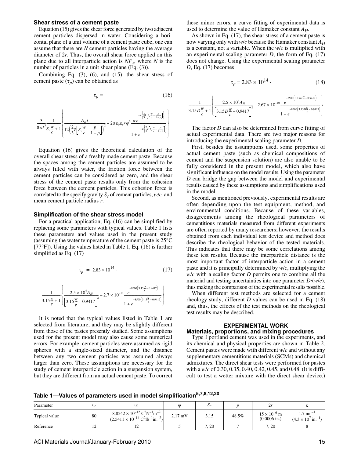#### **Shear stress of a cement paste**

Equation (15) gives the shear force generated by two adjacent cement particles dispersed in water. Considering a horizontal plane of a unit volume of a cement paste cube, one can assume that there are *N* cement particles having the average diameter of  $2r$ . Thus, the overall shear force applied on this plane due to all interparticle action is  $N\overline{F}_x$ , where *N* is the number of particles in a unit shear plane (Eq. (3)).

Combining Eq. (3), (6), and (15), the shear stress of cement paste  $(\tau_p)$  can be obtained as

$$
\tau_p = (16)
$$

$$
\frac{3}{8\pi \bar{r}^3} \frac{1}{S_c \frac{w}{c} + 1} \left\{ \frac{A_H \bar{r}}{12\left(\frac{2}{3}\bar{r}\left[S_c \frac{w}{c} - \frac{p}{1-p}\right]\right)^2} - 2\pi \epsilon_0 \epsilon_r \bar{r} \psi^2 \frac{\kappa e}{12\pi \epsilon_0 \epsilon_r} \frac{\kappa \left(\frac{2}{3}\bar{r}\left[S_c \frac{w}{c} - \frac{p}{1-p}\right]\right)}{1 + e} \right\}
$$

Equation (16) gives the theoretical calculation of the overall shear stress of a freshly made cement paste. Because the spaces among the cement particles are assumed to be always filled with water, the friction force between the cement particles can be considered as zero, and the shear stress of the cement paste results only from the cohesion force between the cement particles. This cohesion force is correlated to the specify gravity *S<sup>c</sup>* of cement particles, *w*/*c,* and mean cement particle radius *r*.

#### **Simplification of the shear stress model**

For a practical application, Eq. (16) can be simplified by replacing some parameters with typical values. Table 1 lists these parameters and values used in the present study (assuming the water temperature of the cement paste is 25°C [77°F]). Using the values listed in Table 1, Eq. (16) is further simplified as Eq. (17)

$$
\tau_p = 2.83 \times 10^{14} \,. \tag{17}
$$

$$
\frac{1}{3.15\frac{w}{c}+1}\left\{\frac{2.5\times10^{4}A_{H}}{3.15\frac{w}{c}-0.9417}\right\}^{-2} - 2.7\times10^{-10}\frac{e^{-8500(3.15\frac{w}{c}-0.9417)}}{1+e^{-6500(3.15\frac{w}{c}-0.9417)}}\right\}
$$

It is noted that the typical values listed in Table 1 are selected from literature, and they may be slightly different from those of the pastes presently studied. Some assumptions used for the present model may also cause some numerical errors. For example, cement particles were assumed as rigid spheres with a single-sized diameter, and the distance between any two cement particles was assumed always larger than zero. These assumptions are necessary for the study of cement interparticle action in a suspension system, but they are different from an actual cement paste. To correct

these minor errors, a curve fitting of experimental data is used to determine the value of Hamaker constant  $A_H$ .

As shown in Eq. (17), the shear stress of a cement paste is now varying only with  $w/c$  because the Hamaker constant  $A_H$ is a constant, not a variable. When the *w*/*c* is multiplied with an experimental scaling parameter *D*, the form of Eq. (17) does not change. Using the experimental scaling parameter *D*, Eq. (17) becomes

$$
\tau_p = 2.83 \times 10^{14} \tag{18}
$$

$$
\frac{1}{3.15D\frac{w}{c}+1} \left\{ \frac{2.5 \times 10^4 A_H}{\left[3.15D\frac{w}{c}-0.9417\right]^2} - 2.67 \times 10^{-10} \frac{e^{-8500(3.15D\frac{w}{c}-0.9417)}}{1+e^{-8500(3.15D\frac{w}{c}-0.9417)}} \right\}
$$

The factor *D* can also be determined from curve fitting of actual experimental data. There are two major reasons for introducing the experimental scaling parameter *D.*

First, besides the assumptions used, some properties of actual cement paste (such as chemical compositions of cement and the suspension solution) are also unable to be fully considered in the present model, which also have significant influence on the model results. Using the parameter *D* can bridge the gap between the model and experimental results caused by these assumptions and simplifications used in the model.

Second, as mentioned previously, experimental results are often depending upon the test equipment, method, and environmental conditions. Because of these variables, disagreements among the rheological parameters of cementitious materials measured from different experiments are often reported by many researchers; however, the results obtained from each individual test device and method does describe the rheological behavior of the tested materials. This indicates that there may be some correlations among these test results. Because the interparticle distance is the most important factor of interparticle action in a cement paste and it is principally determined by *w*/*c*, multiplying the *w*/*c* with a scaling factor *D* permits one to combine all the material and testing uncertainties into one parameter *D*⋅(*w*/*c*), thus making the comparison of the experimental results possible.

When different test methods are selected for a cement rheology study, different *D* values can be used in Eq. (18) and, thus, the effects of the test methods on the rheological test results may be described.

#### **EXPERIMENTAL WORK Materials, proportions, and mixing procedures**

Type I portland cement was used in the experiments, and its chemical and physical properties are shown in Table 2. Cement pastes were made with different *w*/*c* and without any supplementary cementitious materials (SCMs) and chemical admixtures. The direct shear tests were performed for pastes with a *w*/*c* of 0.30, 0.35, 0.40, 0.42, 0.45, and 0.48. (It is difficult to test a wetter mixture with the direct shear device.)

**Table 1—Values of parameters used in model simplification5,7,8,12,20**

| Parameter     | с   | $\varepsilon_0$                                                                                                                           | $\mathbf{u}$      | ມມ   |       |                                         |                                                                |
|---------------|-----|-------------------------------------------------------------------------------------------------------------------------------------------|-------------------|------|-------|-----------------------------------------|----------------------------------------------------------------|
| Typical value | 80  | $8.8542 \times 10^{-12} \text{ C}^2 \text{N}^{-1} \text{m}^{-2}$<br>$(2.5411 \times 10^{-14} \text{ C}^2 \text{lb}^{-1} \text{in.}^{-2})$ | $2.17 \text{ mV}$ | 3.15 | 48.5% | $15 \times 10^{-6}$ m<br>$(0.0006)$ in. | $.7 \text{ nm}^{-1}$<br>$(4.3 \times 10^{7} \text{ in.}^{-1})$ |
| Reference     | - ⊥ | $\overline{1}$                                                                                                                            |                   | 7.20 |       | 7.20                                    |                                                                |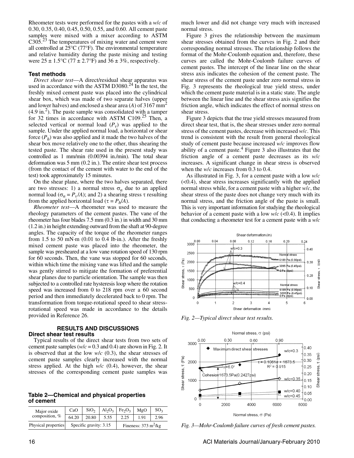Rheometer tests were performed for the pastes with a *w*/*c* of 0.30, 0.35, 0.40, 0.45, 0.50, 0.55, and 0.60. All cement paste samples were mixed with a mixer according to ASTM  $C305<sup>23</sup>$  The temperatures of mixing water and cement were all controlled at 25°C (77°F). The environmental temperature and relative humidity during the paste mixing and testing were  $25 \pm 1.5^{\circ}$ C (77  $\pm 2.7^{\circ}$ F) and  $36 \pm 3\%$ , respectively.

#### **Test methods**

*Direct shear test*—A direct/residual shear apparatus was used in accordance with the ASTM D3080.<sup>24</sup> In the test, the freshly mixed cement paste was placed into the cylindrical shear box, which was made of two separate halves (upper and lower halves) and enclosed a shear area  $(A)$  of 3167 mm<sup>2</sup>  $(4.9 \text{ in.}^2)$ . The paste sample was consolidated with a tamper for 32 times in accordance with ASTM C109.<sup>25</sup> Then, a selected vertical or normal load  $(P_v)$  was applied to the sample. Under the applied normal load, a horizontal or shear force (*P<sup>h</sup>* ) was also applied and it made the two halves of the shear box move relatively one to the other, thus shearing the tested paste. The shear rate used in the present study was controlled as 1 mm/min (0.00394 in./min). The total shear deformation was 5 mm (0.2 in.). The entire shear test process (from the contact of the cement with water to the end of the test) took approximately 15 minutes.

On the shear plane, where the two halves separated, there are two stresses: 1) a normal stress  $\sigma_n$  due to an applied normal load ( $\sigma_n = P_\nu/A$ ); and 2) a shearing stress τ resulting from the applied horizontal load ( $\tau = P_h/A$ ).

*Rheometer test*—A rheometer was used to measure the rheology parameters of the cement pastes. The vane of the rheometer has four blades 7.5 mm (0.3 in.) in width and 30 mm (1.2 in.) in height extending outward from the shaft at 90-degree angles. The capacity of the torque of the rheometer ranges from 1.5 to 50 mN⋅m  $(0.01$  to 0.4 lb⋅in.). After the freshly mixed cement paste was placed into the rheometer, the sample was presheared at a low vane rotation speed of 130 rpm for 60 seconds. Then, the vane was stopped for 60 seconds, within which time the mixing vane was lifted and the sample was gently stirred to mitigate the formation of preferential shear planes due to particle orientation. The sample was then subjected to a controlled rate hysteresis loop where the rotation speed was increased from 0 to 218 rpm over a 60 second period and then immediately decelerated back to 0 rpm. The transformation from torque-rotational speed to shear stressrotational speed was made in accordance to the details provided in Reference 26.

#### **RESULTS AND DISCUSSIONS Direct shear test results**

Typical results of the direct shear tests from two sets of cement paste samples ( $w/c = 0.3$  and 0.4) are shown in Fig. 2. It is observed that at the low *w*/*c* (0.3), the shear stresses of cement paste samples clearly increased with the normal stress applied. At the high *w*/*c* (0.4), however, the shear stresses of the corresponding cement paste samples was

**Table 2—Chemical and physical properties of cement**

| Major oxide         | CaO   | SiO <sub>2</sub>       |      | $Al_2O_3$ Fe <sub>2</sub> O <sub>3</sub> | MgO  | SO <sub>2</sub> |  |
|---------------------|-------|------------------------|------|------------------------------------------|------|-----------------|--|
| composition, %      | 64.20 | 20.80                  | 5.55 | 2.25                                     | 1.91 | 2.96            |  |
| Physical properties |       | Specific gravity: 3.15 |      | Fineness: $373 \text{ m}^2/\text{kg}$    |      |                 |  |

much lower and did not change very much with increased normal stress.

Figure 3 gives the relationship between the maximum shear stresses obtained from the curves in Fig. 2 and their corresponding normal stresses. The relationship follows the format of the Mohr-Coulomb equation and, therefore, these curves are called the Mohr-Coulomb failure curves of cement pastes. The intercept of the linear line on the shear stress axis indicates the cohesion of the cement paste. The shear stress of the cement paste under zero normal stress in Fig. 3 represents the rheological true yield stress, under which the cement paste material is in a static state. The angle between the linear line and the shear stress axis signifies the friction angle, which indicates the effect of normal stress on shear stress.

Figure 3 depicts that the true yield stresses measured from direct shear test, that is, the shear stresses under zero normal stress of the cement pastes, decrease with increased *w*/*c*. This trend is consistent with the result from general rheological study of cement paste because increased *w*/*c* improves flow ability of a cement paste. $4$  Figure 3 also illustrates that the friction angle of a cement paste decreases as its *w*/*c* increases. A significant change in shear stress is observed when the *w*/*c* increases from 0.3 to 0.4.

As illustrated in Fig. 3, for a cement paste with a low *w*/*c*  $( $0.4$ ), shear stress increases significantly with the applied$ normal stress while, for a cement paste with a higher *w*/*c*, the shear stress of the paste does not change very much with its normal stress, and the friction angle of the paste is small. This is very important information for studying the rheological behavior of a cement paste with a low  $w/c$  (<0.4). It implies that conducting a rheometer test for a cement paste with a *w*/*c*



*Fig. 2—Typical direct shear test results.*



*Fig. 3—Mohr-Coulomb failure curves of fresh cement pastes.*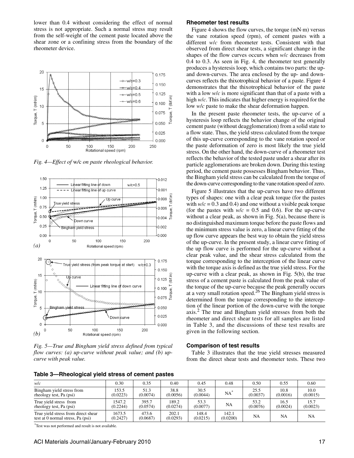lower than 0.4 without considering the effect of normal stress is not appropriate. Such a normal stress may result from the self-weight of the cement paste located above the shear zone or a confining stress from the boundary of the rheometer device.



*Fig. 4—Effect of* w*/*c *on paste rheological behavior.*



*Fig. 5—True and Bingham yield stress defined from typical flow curves: (a) up-curve without peak value; and (b) upcurve with peak value.*

|  |  | Table 3—Rheological yield stress of cement pastes |  |  |  |  |
|--|--|---------------------------------------------------|--|--|--|--|
|--|--|---------------------------------------------------|--|--|--|--|

#### **Rheometer test results**

Figure 4 shows the flow curves, the torque (mN⋅m) versus the vane rotation speed (rpm), of cement pastes with a different *w*/*c* from rheometer tests. Consistent with that observed from direct shear tests, a significant change in the shapes of the flow curves occurs when *w*/*c* decreases from 0.4 to 0.3. As seen in Fig. 4, the rheometer test generally produces a hysteresis loop, which contains two parts: the upand down-curves. The area enclosed by the up- and downcurves reflects the thixotrophical behavior of a paste. Figure 4 demonstrates that the thixotrophical behavior of the paste with a low *w*/*c* is more significant than that of a paste with a high *w*/*c*. This indicates that higher energy is required for the low *w*/*c* paste to make the shear deformation happen.

In the present paste rheometer tests, the up-curve of a hysteresis loop reflects the behavior change of the original cement paste (without deagglomeration) from a solid state to a flow state. Thus, the yield stress calculated from the torque of this up-curve corresponding to the vane rotation speed or the paste deformation of zero is most likely the true yield stress. On the other hand, the down-curve of a rheometer test reflects the behavior of the tested paste under a shear after its particle agglomerations are broken down. During this testing period, the cement paste possesses Bingham behavior. Thus, the Bingham yield stress can be calculated from the torque of the down-curve corresponding to the vane rotation speed of zero.

Figure 5 illustrates that the up-curves have two different types of shapes: one with a clear peak torque (for the pastes with  $w/c = 0.3$  and 0.4) and one without a visible peak torque (for the pastes with  $w/c = 0.5$  and 0.6). For the up-curve without a clear peak, as shown in Fig. 5(a), because there is no distinguished maximum torque before the paste flows and the minimum stress value is zero, a linear curve fitting of the up flow curve appears the best way to obtain the yield stress of the up-curve. In the present study, a linear curve fitting of the up flow curve is performed for the up-curve without a clear peak value, and the shear stress calculated from the torque corresponding to the interception of the linear curve with the torque axis is defined as the true yield stress. For the up-curve with a clear peak, as shown in Fig. 5(b), the true stress of a cement paste is calculated from the peak value of the torque of the up-curve because the peak generally occurs at a very small rotation speed.26 The Bingham yield stress is determined from the torque corresponding to the interception of the linear portion of the down-curve with the torque axis.<sup>2</sup> The true and Bingham yield stresses from both the rheometer and direct shear tests for all samples are listed in Table 3, and the discussions of these test results are given in the following section.

#### **Comparison of test results**

Table 3 illustrates that the true yield stresses measured from the direct shear tests and rheometer tests. These two

| . .                                                                      |                    |                   |                   |                   |                   |                  |                  |                  |
|--------------------------------------------------------------------------|--------------------|-------------------|-------------------|-------------------|-------------------|------------------|------------------|------------------|
| wlc                                                                      | 0.30               | 0.35              | 0.40              | 0.45              | 0.48              | 0.50             | 0.55             | 0.60             |
| Bingham yield stress from<br>rheology test, Pa (psi)                     | 153.5<br>(0.0223)  | 51.3<br>(0.0074)  | 38.8<br>(0.0056)  | 30.5<br>(0.0044)  | $NA^*$            | 25.5<br>(0.0037) | 10.8<br>(0.0016) | 10.0<br>(0.0015) |
| True yield stress from<br>rheology test, Pa (psi)                        | 1547.2<br>(0.2244) | 395.7<br>(0.0574) | 189.2<br>(0.0274) | 53.3<br>(0.0077)  | NA                | 53.2<br>(0.0076) | 16.5<br>(0.0024) | 15.7<br>(0.0023) |
| True yield stress from direct shear<br>test at 0 normal stress, Pa (psi) | 1673.5<br>(0.2427) | 473.6<br>(0.0687) | 202.1<br>(0.0293) | 148.4<br>(0.0215) | 142.1<br>(0.0200) | NA               | <b>NA</b>        | <b>NA</b>        |

\*Test was not performed and result is not available.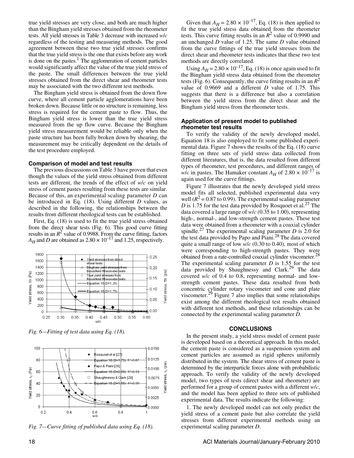true yield stresses are very close, and both are much higher than the Bingham yield stresses obtained from the rheometer tests. All yield stresses in Table 3 decrease with increased *w*/*c* regardless of the testing and measuring methods. The good agreement between these two true yield stresses confirms that the true yield stress is the one that exists before any work is done on the pastes.<sup>1</sup> The agglomeration of cement particles would significantly affect the value of the true yield stress of the paste. The small differences between the true yield stresses obtained from the direct shear and rheometer tests may be associated with the two different test methods.

The Bingham yield stress is obtained from the down flow curve, where all cement particle agglomerations have been broken down. Because little or no structure is remaining, less stress is required for the cement paste to flow. Thus, the Bingham yield stress is lower than the true yield stress measured from the up flow curve. Because the Bingham yield stress measurement would be reliable only when the paste structure has been fully broken down by shearing, the measurement may be critically dependent on the details of the test procedure employed.

#### **Comparison of model and test results**

The previous discussions on Table 3 have proven that even though the values of the yield stress obtained from different tests are different, the trends of the effect of *w*/*c* on yield stress of cement pastes resulting from these tests are similar. Because of this, an experimental scaling parameter *D* can be introduced in Eq. (18). Using different *D* values, as described in the following, the relationships between the results from different rheological tests can be established.

First, Eq. (18) is used to fit the true yield stress obtained from the direct shear tests (Fig. 6). This good curve fitting results in an  $R^2$  value of 0.9988. From the curve fitting, factors  $A_H$  and *D* are obtained as 2.80  $\times$  10<sup>-17</sup> and 1.25, respectively.



*Fig. 6—Fitting of test data using Eq. (18).*



*Fig. 7—Curve fitting of published data using Eq. (18).*

Given that  $A_H = 2.80 \times 10^{-17}$ , Eq. (18) is then applied to fit the true yield stress data obtained from the rheometer tests. This curve fitting results in an  $R^2$  value of 0.9990 and an unchanged *D* value of 1.25. The same *D* value obtained from the curve fittings of the true yield stresses from the direct shear and rheometer tests indicates that these two test methods are directly correlated.

Using  $A_H$  = 2.80  $\times$  10<sup>-17</sup>, Eq. (18) is once again used to fit the Bingham yield stress data obtained from the rheometer tests (Fig. 6). Consequently, the curve fitting results in an  $R^2$ value of 0.9669 and a different *D* value of 1.75. This suggests that there is a difference but also a correlation between the yield stress from the direct shear and the Bingham yield stress from the rheometer tests.

#### **Application of present model to published rheometer test results**

To verify the validity of the newly developed model, Equation 18 is also employed to fit some published experimental data. Figure 7 shows the results of the Eq. (18) curve fitting on three sets of yield stress data collected from different literatures, that is, the data resulted from different types of rheometer, test procedures, and different ranges of *w/c* in pastes. The Hamaker constant  $A_H$  of 2.80  $\times$  10<sup>-17</sup> is again used for the curve fittings.

Figure 7 illustrates that the newly developed yield stress model fits all selected, published experimental data very well  $(R^2 = 0.87$  to 0.99). The experimental scaling parameter *D* is 1.75 for the test data provided by Rosquoet et al.<sup>27</sup> The data covered a large range of *w*/*c* (0.35 to 1.00), representing high-, normal-, and low-strength cement pastes. These test data were obtained from a rheometer with a coaxial cylinder spindle.<sup>27</sup> The experimental scaling parameter *D* is 2.0 for the test data provided by Papo and Piani.<sup>28</sup> The data covered quite a small range of low *w*/*c* (0.30 to 0.40), most of which were corresponding to high-strength pastes. They were obtained from a rate-controlled coaxial cylinder viscometer.<sup>28</sup> The experimental scaling parameter  $D$  is 1.55 for the test data provided by Shaughnessy and Clark.<sup>29</sup> The data covered *w*/*c* of 0.4 to 0.8, representing normal- and lowstrength cement pastes. These data resulted from both concentric cylinder rotary viscometer and cone and plate viscometer.<sup>29</sup> Figure 7 also implies that some relationships exist among the different rheological test results obtained with different test methods, and these relationships can be connected by the experimental scaling parameter *D*.

#### **CONCLUSIONS**

In the present study, a yield stress model of cement paste is developed based on a theoretical approach. In this model, the cement paste is considered as a suspension system and cement particles are assumed as rigid spheres uniformly distributed in the system. The shear stress of cement paste is determined by the interparticle forces alone with probabilistic approach. To verify the validity of the newly developed model, two types of tests (direct shear and rheometer) are performed for a group of cement pastes with a different *w*/*c*, and the model has been applied to three sets of published experimental data. The results indicate the following:

1. The newly developed model can not only predict the yield stress of a cement paste but also correlate the yield stresses from different experimental methods using an experimental scaling parameter *D*.